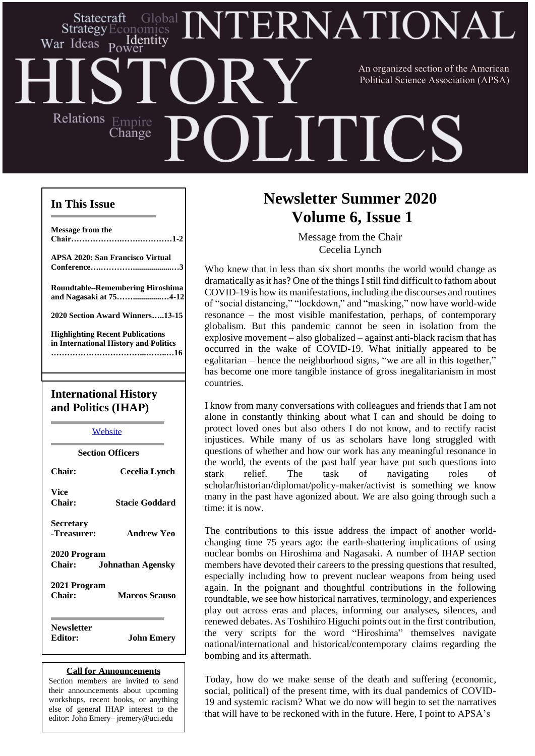## ERNATIONAI Statecraft Strategy Identity War Ideas Power An organized section of the American Political Science Association (APSA)Relations Empire **LITIC:** Change

## **In This Issue**

| <b>International History</b><br>and Politics (IHAP)                              |
|----------------------------------------------------------------------------------|
|                                                                                  |
| <b>Highlighting Recent Publications</b><br>in International History and Politics |
| 2020 Section Award Winners13-15                                                  |
| <b>Roundtable-Remembering Hiroshima</b><br>and Nagasaki at 754-12                |
| <b>APSA 2020: San Francisco Virtual</b>                                          |
| Message from the                                                                 |
|                                                                                  |

**[Website](http://www.apsanet.org/section34) Section Officers Chair: Cecelia Lynch Vice Chair: Stacie Goddard Secretary -Treasurer: Andrew Yeo 2020 Program Chair: Johnathan Agensky 2021 Program Chair: Marcos Scauso Newsletter Editor: John Emery**

#### **Call for Announcements**

Section members are invited to send their announcements about upcoming workshops, recent books, or anything else of general IHAP interest to the editor: John Emery– jremery@uci.edu

# **Newsletter Summer 2020 Volume 6, Issue 1**

Message from the Chair Cecelia Lynch

Who knew that in less than six short months the world would change as dramatically asit has? One of the things Istill find difficult to fathom about COVID-19 is how its manifestations, including the discourses and routines of "social distancing," "lockdown," and "masking," now have world-wide resonance – the most visible manifestation, perhaps, of contemporary globalism. But this pandemic cannot be seen in isolation from the explosive movement – also globalized – against anti-black racism that has occurred in the wake of COVID-19. What initially appeared to be egalitarian – hence the neighborhood signs, "we are all in this together," has become one more tangible instance of gross inegalitarianism in most countries.

I know from many conversations with colleagues and friends that I am not alone in constantly thinking about what I can and should be doing to protect loved ones but also others I do not know, and to rectify racist injustices. While many of us as scholars have long struggled with questions of whether and how our work has any meaningful resonance in the world, the events of the past half year have put such questions into stark relief. The task of navigating roles of scholar/historian/diplomat/policy-maker/activist is something we know many in the past have agonized about. *We* are also going through such a time: it is now.

The contributions to this issue address the impact of another worldchanging time 75 years ago: the earth-shattering implications of using nuclear bombs on Hiroshima and Nagasaki. A number of IHAP section members have devoted their careers to the pressing questions that resulted, especially including how to prevent nuclear weapons from being used again. In the poignant and thoughtful contributions in the following roundtable, we see how historical narratives, terminology, and experiences play out across eras and places, informing our analyses, silences, and renewed debates. As Toshihiro Higuchi points out in the first contribution, the very scripts for the word "Hiroshima" themselves navigate national/international and historical/contemporary claims regarding the bombing and its aftermath.

19 and systemic racism? What we do now will begin to set the narratives Today, how do we make sense of the death and suffering (economic, social, political) of the present time, with its dual pandemics of COVIDthat will have to be reckoned with in the future. Here, I point to APSA's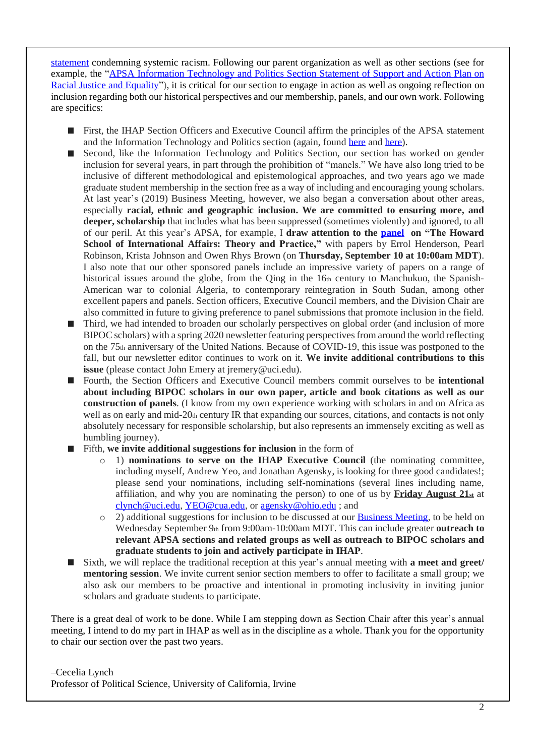[statement](https://politicalsciencenow.com/apsa-statement-condemning-systemic-racism/) condemning systemic racism. Following our parent organization as well as other sections (see for example, the "APSA Information [Technology](https://docs.google.com/document/d/1Zv2-zN-Lx6-c9U4LiEqcra00P2vFrwRERk4ygLTgBZA/edit) and Politics Section Statement of Support and Action Plan on Racial Justice and [Equality"](https://docs.google.com/document/d/1Zv2-zN-Lx6-c9U4LiEqcra00P2vFrwRERk4ygLTgBZA/edit)), it is critical for our section to engage in action as well as ongoing reflection on inclusion regarding both our historical perspectives and our membership, panels, and our own work. Following are specifics:

- **First, the IHAP Section Officers and Executive Council affirm the principles of the APSA statement** and the Information Technology and Politics section (again, found [here](https://politicalsciencenow.com/apsa-statement-condemning-systemic-racism/) and [here\)](https://docs.google.com/document/d/1Zv2-zN-Lx6-c9U4LiEqcra00P2vFrwRERk4ygLTgBZA/edit).
- Second, like the Information Technology and Politics Section, our section has worked on gender  $\mathcal{L}_{\mathcal{A}}$ inclusion for several years, in part through the prohibition of "manels." We have also long tried to be inclusive of different methodological and epistemological approaches, and two years ago we made graduate student membership in the section free as a way of including and encouraging young scholars. At last year's (2019) Business Meeting, however, we also began a conversation about other areas, especially **racial, ethnic and geographic inclusion. We are committed to ensuring more, and deeper, scholarship** that includes what has been suppressed (sometimes violently) and ignored, to all of our peril. At this year's APSA, for example, I **draw attention to the [panel](http://tinyurl.com/ycnzs2kp) on "The Howard School of International Affairs: Theory and Practice,"** with papers by Errol Henderson, Pearl Robinson, Krista Johnson and Owen Rhys Brown (on **Thursday, September 10 at 10:00am MDT**). I also note that our other sponsored panels include an impressive variety of papers on a range of historical issues around the globe, from the Qing in the 16th century to Manchukuo, the Spanish-American war to colonial Algeria, to contemporary reintegration in South Sudan, among other excellent papers and panels. Section officers, Executive Council members, and the Division Chair are also committed in future to giving preference to panel submissions that promote inclusion in the field.
- $\blacksquare$ Third, we had intended to broaden our scholarly perspectives on global order (and inclusion of more BIPOC scholars) with a spring 2020 newsletter featuring perspectives from around the world reflecting on the 75th anniversary of the United Nations. Because of COVID-19, this issue was postponed to the fall, but our newsletter editor continues to work on it. **We invite additional contributions to this issue** (please contact John Emery at jremery@uci.edu).
- Fourth, the Section Officers and Executive Council members commit ourselves to be **intentional about including BIPOC scholars in our own paper, article and book citations as well as our construction of panels**. (I know from my own experience working with scholars in and on Africa as well as on early and mid-20th century IR that expanding our sources, citations, and contacts is not only absolutely necessary for responsible scholarship, but also represents an immensely exciting as well as humbling journey).
- Fifth, **we invite additional suggestions for inclusion** in the form of
	- o 1) **nominations to serve on the IHAP Executive Council** (the nominating committee, including myself, Andrew Yeo, and Jonathan Agensky, is looking for three good candidates!; please send your nominations, including self-nominations (several lines including name, affiliation, and why you are nominating the person) to one of us by **Friday August 21st** at [clynch@uci.edu,](mailto:clynch@uci.edu) [YEO@cua.edu,](mailto:YEO@cua.edu) or [agensky@ohio.edu](mailto:agensky@ohio.edu) ; and
	- $\circ$  2) additional suggestions for inclusion to be discussed at our [Business](http://tinyurl.com/yb9dpphs) Meeting, to be held on Wednesday September 9th from 9:00am-10:00am MDT. This can include greater **outreach to relevant APSA sections and related groups as well as outreach to BIPOC scholars and graduate students to join and actively participate in IHAP**.
- Sixth, we will replace the traditional reception at this year's annual meeting with **a meet and greet/ mentoring session**. We invite current senior section members to offer to facilitate a small group; we also ask our members to be proactive and intentional in promoting inclusivity in inviting junior scholars and graduate students to participate.

There is a great deal of work to be done. While I am stepping down as Section Chair after this year's annual meeting, I intend to do my part in IHAP as well as in the discipline as a whole. Thank you for the opportunity to chair our section over the past two years.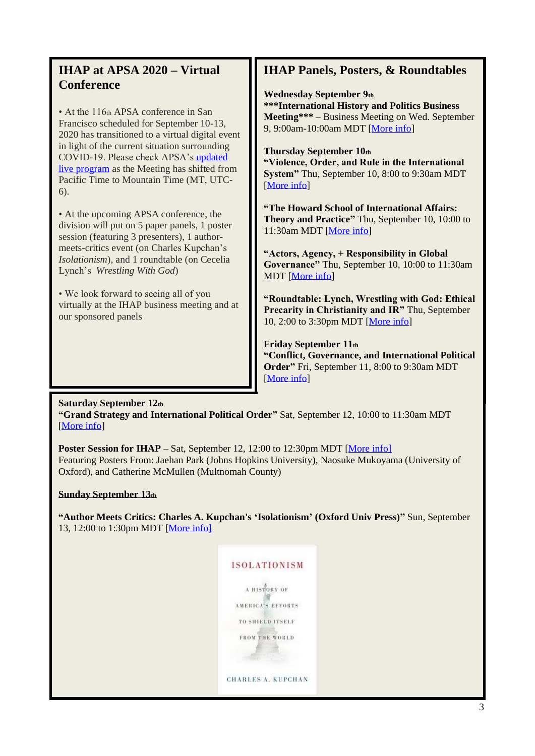## **IHAP at APSA 2020 – Virtual Conference**

• At the 116th APSA conference in San Francisco scheduled for September 10-13, 2020 has transitioned to a virtual digital event in light of the current situation surrounding COVID-19. Please check APSA's [updated](https://connect.apsanet.org/apsa2020/online-program/)  [live program](https://connect.apsanet.org/apsa2020/online-program/) as the Meeting has shifted from Pacific Time to Mountain Time (MT, UTC-6).

• At the upcoming APSA conference, the division will put on 5 paper panels, 1 poster session (featuring 3 presenters), 1 authormeets-critics event (on Charles Kupchan's *Isolationism*), and 1 roundtable (on Cecelia Lynch's *Wrestling With God*)

• We look forward to seeing all of you virtually at the IHAP business meeting and at our sponsored panels

## **IHAP Panels, Posters, & Roundtables**

### **Wednesday September 9th**

**\*\*\*International History and Politics Business Meeting\*\*\*** – Business Meeting on Wed. September 9, 9:00am-10:00am MDT [\[More info\]](http://tinyurl.com/yb9dpphs)

### **Thursday September 10th**

**"Violence, Order, and Rule in the International System"** Thu, September 10, 8:00 to 9:30am MDT [\[More info\]](http://tinyurl.com/y8wrzhsr)

**"The Howard School of International Affairs: Theory and Practice"** Thu, September 10, 10:00 to 11:30am MDT [\[More info\]](http://tinyurl.com/ycnzs2kp)

**"Actors, Agency, + Responsibility in Global Governance"** Thu, September 10, 10:00 to 11:30am MDT [\[More info\]](http://tinyurl.com/ybgd28ml)

**"Roundtable: Lynch, Wrestling with God: Ethical Precarity in Christianity and IR"** Thu, September 10, 2:00 to 3:30pm MDT [\[More info\]](http://tinyurl.com/ybbta6qw)

### **Friday September 11th**

**"Conflict, Governance, and International Political Order"** Fri, September 11, 8:00 to 9:30am MDT [\[More info\]](http://tinyurl.com/y9nzvd9m)

### **Saturday September 12th**

**"Grand Strategy and International Political Order"** Sat, September 12, 10:00 to 11:30am MDT [\[More info\]](http://tinyurl.com/ycxkgbke)

**Poster Session for IHAP** – Sat, September 12, 12:00 to 12:30pm MDT [\[More info\]](http://tinyurl.com/ycvv8gqy) Featuring Posters From: Jaehan Park (Johns Hopkins University), Naosuke Mukoyama (University of Oxford), and Catherine McMullen (Multnomah County)

### **Sunday September 13th**

**"Author Meets Critics: Charles A. Kupchan's 'Isolationism' (Oxford Univ Press)"** Sun, September 13, 12:00 to 1:30pm MDT [\[More info\]](http://tinyurl.com/y9tnsq64)

| <b>ISOLATIONISM</b>       |
|---------------------------|
| A HISTORY OF              |
| <b>AMERICA'S EFFORT</b>   |
| TO SHIELD ITSELF          |
| <b>FROM THE WORLD</b>     |
|                           |
| <b>CHARLES A. KUPCHAN</b> |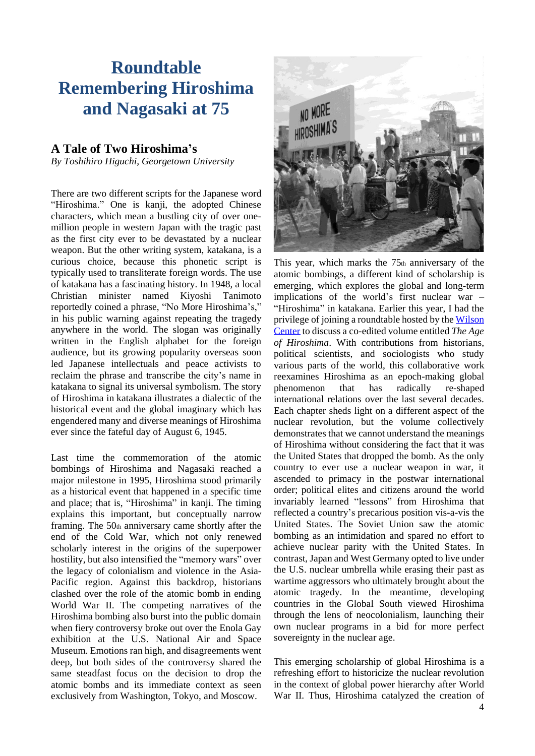# **Roundtable Remembering Hiroshima and Nagasaki at 75**

## **A Tale of Two Hiroshima's**

*By Toshihiro Higuchi, Georgetown University*

There are two different scripts for the Japanese word "Hiroshima." One is kanji, the adopted Chinese characters, which mean a bustling city of over onemillion people in western Japan with the tragic past as the first city ever to be devastated by a nuclear weapon. But the other writing system, katakana, is a curious choice, because this phonetic script is typically used to transliterate foreign words. The use of katakana has a fascinating history. In 1948, a local Christian minister named Kiyoshi Tanimoto reportedly coined a phrase, "No More Hiroshima's," in his public warning against repeating the tragedy anywhere in the world. The slogan was originally written in the English alphabet for the foreign audience, but its growing popularity overseas soon led Japanese intellectuals and peace activists to reclaim the phrase and transcribe the city's name in katakana to signal its universal symbolism. The story of Hiroshima in katakana illustrates a dialectic of the historical event and the global imaginary which has engendered many and diverse meanings of Hiroshima ever since the fateful day of August 6, 1945.

Last time the commemoration of the atomic bombings of Hiroshima and Nagasaki reached a major milestone in 1995, Hiroshima stood primarily as a historical event that happened in a specific time and place; that is, "Hiroshima" in kanji. The timing explains this important, but conceptually narrow framing. The  $50<sub>th</sub>$  anniversary came shortly after the end of the Cold War, which not only renewed scholarly interest in the origins of the superpower hostility, but also intensified the "memory wars" over the legacy of colonialism and violence in the Asia-Pacific region. Against this backdrop, historians clashed over the role of the atomic bomb in ending World War II. The competing narratives of the Hiroshima bombing also burst into the public domain when fiery controversy broke out over the Enola Gay exhibition at the U.S. National Air and Space Museum. Emotions ran high, and disagreements went deep, but both sides of the controversy shared the same steadfast focus on the decision to drop the atomic bombs and its immediate context as seen exclusively from Washington, Tokyo, and Moscow.



This year, which marks the  $75<sub>th</sub>$  anniversary of the atomic bombings, a different kind of scholarship is emerging, which explores the global and long-term implications of the world's first nuclear war – "Hiroshima" in katakana. Earlier this year, I had the privilege of joining a roundtable hosted by the [Wilson](https://www.wilsoncenter.org/event/age-hiroshima-nuclear-revolution-75th-anniversary-atomic-bombings) [Center](https://www.wilsoncenter.org/event/age-hiroshima-nuclear-revolution-75th-anniversary-atomic-bombings) to discuss a co-edited volume entitled *The Age of Hiroshima*. With contributions from historians, political scientists, and sociologists who study various parts of the world, this collaborative work reexamines Hiroshima as an epoch-making global phenomenon that has radically re-shaped international relations over the last several decades. Each chapter sheds light on a different aspect of the nuclear revolution, but the volume collectively demonstrates that we cannot understand the meanings of Hiroshima without considering the fact that it was the United States that dropped the bomb. As the only country to ever use a nuclear weapon in war, it ascended to primacy in the postwar international order; political elites and citizens around the world invariably learned "lessons" from Hiroshima that reflected a country's precarious position vis-a-vis the United States. The Soviet Union saw the atomic bombing as an intimidation and spared no effort to achieve nuclear parity with the United States. In contrast, Japan and West Germany opted to live under the U.S. nuclear umbrella while erasing their past as wartime aggressors who ultimately brought about the atomic tragedy. In the meantime, developing countries in the Global South viewed Hiroshima through the lens of neocolonialism, launching their own nuclear programs in a bid for more perfect sovereignty in the nuclear age.

This emerging scholarship of global Hiroshima is a refreshing effort to historicize the nuclear revolution in the context of global power hierarchy after World War II. Thus, Hiroshima catalyzed the creation of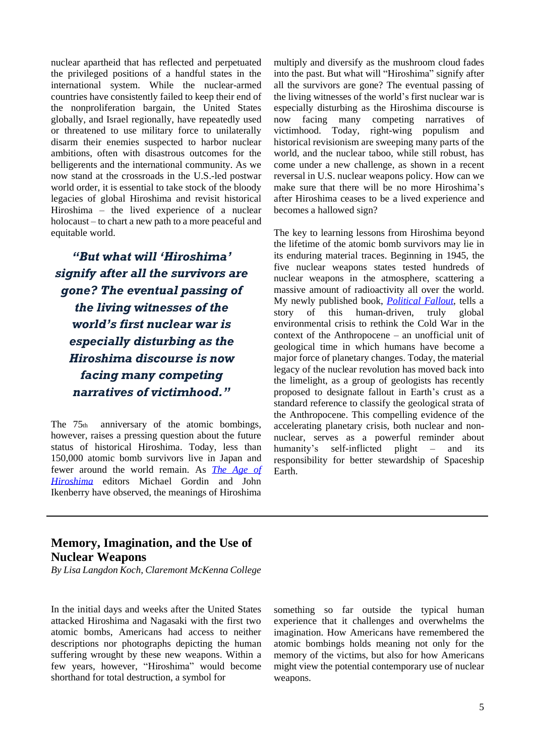nuclear apartheid that has reflected and perpetuated the privileged positions of a handful states in the international system. While the nuclear-armed countries have consistently failed to keep their end of the nonproliferation bargain, the United States globally, and Israel regionally, have repeatedly used or threatened to use military force to unilaterally disarm their enemies suspected to harbor nuclear ambitions, often with disastrous outcomes for the belligerents and the international community. As we now stand at the crossroads in the U.S.-led postwar world order, it is essential to take stock of the bloody legacies of global Hiroshima and revisit historical Hiroshima – the lived experience of a nuclear holocaust – to chart a new path to a more peaceful and equitable world.

*"But what will 'Hiroshima' signify after all the survivors are gone? The eventual passing of the living witnesses of the world's first nuclear war is especially disturbing as the Hiroshima discourse is now facing many competing narratives of victimhood."*

The 75<sup>th</sup> anniversary of the atomic bombings, however, raises a pressing question about the future status of historical Hiroshima. Today, less than 150,000 atomic bomb survivors live in Japan and fewer around the world remain. As *The [Age](https://press.princeton.edu/books/hardcover/9780691193458/the-age-of-hiroshima) of [Hiroshima](https://press.princeton.edu/books/hardcover/9780691193458/the-age-of-hiroshima)* editors Michael Gordin and John Ikenberry have observed, the meanings of Hiroshima

multiply and diversify as the mushroom cloud fades into the past. But what will "Hiroshima" signify after all the survivors are gone? The eventual passing of the living witnesses of the world's first nuclear war is especially disturbing as the Hiroshima discourse is now facing many competing narratives of victimhood. Today, right-wing populism and historical revisionism are sweeping many parts of the world, and the nuclear taboo, while still robust, has come under a new challenge, as shown in a recent reversal in U.S. nuclear weapons policy. How can we make sure that there will be no more Hiroshima's after Hiroshima ceases to be a lived experience and becomes a hallowed sign?

The key to learning lessons from Hiroshima beyond the lifetime of the atomic bomb survivors may lie in its enduring material traces. Beginning in 1945, the five nuclear weapons states tested hundreds of nuclear weapons in the atmosphere, scattering a massive amount of radioactivity all over the world. My newly published book, *[Political](https://www.sup.org/books/title/?id=23212) Fallout*, tells a story of this human-driven, truly global environmental crisis to rethink the Cold War in the context of the Anthropocene – an unofficial unit of geological time in which humans have become a major force of planetary changes. Today, the material legacy of the nuclear revolution has moved back into the limelight, as a group of geologists has recently proposed to designate fallout in Earth's crust as a standard reference to classify the geological strata of the Anthropocene. This compelling evidence of the accelerating planetary crisis, both nuclear and nonnuclear, serves as a powerful reminder about humanity's self-inflicted plight – and its responsibility for better stewardship of Spaceship Earth.

## **Memory, Imagination, and the Use of Nuclear Weapons**

*By Lisa Langdon Koch, Claremont McKenna College*

In the initial days and weeks after the United States attacked Hiroshima and Nagasaki with the first two atomic bombs, Americans had access to neither descriptions nor photographs depicting the human suffering wrought by these new weapons. Within a few years, however, "Hiroshima" would become shorthand for total destruction, a symbol for

something so far outside the typical human experience that it challenges and overwhelms the imagination. How Americans have remembered the atomic bombings holds meaning not only for the memory of the victims, but also for how Americans might view the potential contemporary use of nuclear weapons.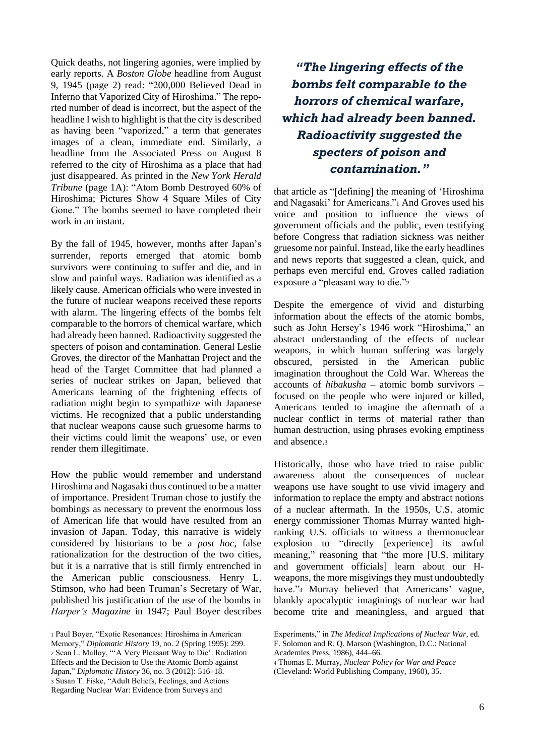Quick deaths, not lingering agonies, were implied by early reports. A *Boston Globe* headline from August 9, 1945 (page 2) read: "200,000 Believed Dead in Inferno that Vaporized City of Hiroshima." The reported number of dead is incorrect, but the aspect of the headline I wish to highlight is that the city is described as having been "vaporized," a term that generates images of a clean, immediate end. Similarly, a headline from the Associated Press on August 8 referred to the city of Hiroshima as a place that had just disappeared. As printed in the *New York Herald Tribune* (page 1A): "Atom Bomb Destroyed 60% of Hiroshima; Pictures Show 4 Square Miles of City Gone." The bombs seemed to have completed their work in an instant.

By the fall of 1945, however, months after Japan's surrender, reports emerged that atomic bomb survivors were continuing to suffer and die, and in slow and painful ways. Radiation was identified as a likely cause. American officials who were invested in the future of nuclear weapons received these reports with alarm. The lingering effects of the bombs felt comparable to the horrors of chemical warfare, which had already been banned. Radioactivity suggested the specters of poison and contamination. General Leslie Groves, the director of the Manhattan Project and the head of the Target Committee that had planned a series of nuclear strikes on Japan, believed that Americans learning of the frightening effects of radiation might begin to sympathize with Japanese victims. He recognized that a public understanding that nuclear weapons cause such gruesome harms to their victims could limit the weapons' use, or even render them illegitimate.

How the public would remember and understand Hiroshima and Nagasaki thus continued to be a matter of importance. President Truman chose to justify the bombings as necessary to prevent the enormous loss of American life that would have resulted from an invasion of Japan. Today, this narrative is widely considered by historians to be a *post hoc*, false rationalization for the destruction of the two cities, but it is a narrative that is still firmly entrenched in the American public consciousness. Henry L. Stimson, who had been Truman's Secretary of War, published his justification of the use of the bombs in *Harper's Magazine* in 1947; Paul Boyer describes

*"The lingering effects of the bombs felt comparable to the horrors of chemical warfare, which had already been banned. Radioactivity suggested the specters of poison and contamination."*

that article as "[defining] the meaning of 'Hiroshima and Nagasaki' for Americans."<sup>1</sup> And Groves used his voice and position to influence the views of government officials and the public, even testifying before Congress that radiation sickness was neither gruesome nor painful. Instead, like the early headlines and news reports that suggested a clean, quick, and perhaps even merciful end, Groves called radiation exposure a "pleasant way to die."<sup>2</sup>

Despite the emergence of vivid and disturbing information about the effects of the atomic bombs, such as John Hersey's 1946 work "Hiroshima," an abstract understanding of the effects of nuclear weapons, in which human suffering was largely obscured, persisted in the American public imagination throughout the Cold War. Whereas the accounts of *hibakusha* – atomic bomb survivors – focused on the people who were injured or killed, Americans tended to imagine the aftermath of a nuclear conflict in terms of material rather than human destruction, using phrases evoking emptiness and absence.<sup>3</sup>

Historically, those who have tried to raise public awareness about the consequences of nuclear weapons use have sought to use vivid imagery and information to replace the empty and abstract notions of a nuclear aftermath. In the 1950s, U.S. atomic energy commissioner Thomas Murray wanted highranking U.S. officials to witness a thermonuclear explosion to "directly [experience] its awful meaning," reasoning that "the more [U.S. military and government officials] learn about our Hweapons, the more misgivings they must undoubtedly have."<sup>4</sup> Murray believed that Americans' vague, blankly apocalyptic imaginings of nuclear war had become trite and meaningless, and argued that

(Cleveland: World Publishing Company, 1960), 35.

<sup>1</sup> Paul Boyer, "Exotic Resonances: Hiroshima in American Memory," *Diplomatic History* 19, no. 2 (Spring 1995): 299. <sup>2</sup> Sean L. Malloy, "'A Very Pleasant Way to Die': Radiation Effects and the Decision to Use the Atomic Bomb against Japan," *Diplomatic History* 36, no. 3 (2012): 516–18. <sup>3</sup> Susan T. Fiske, "Adult Beliefs, Feelings, and Actions Regarding Nuclear War: Evidence from Surveys and

Experiments," in *The Medical Implications of Nuclear War*, ed. F. Solomon and R. Q. Marson (Washington, D.C.: National Academies Press, 1986), 444–66.

<sup>4</sup> Thomas E. Murray, *Nuclear Policy for War and Peace*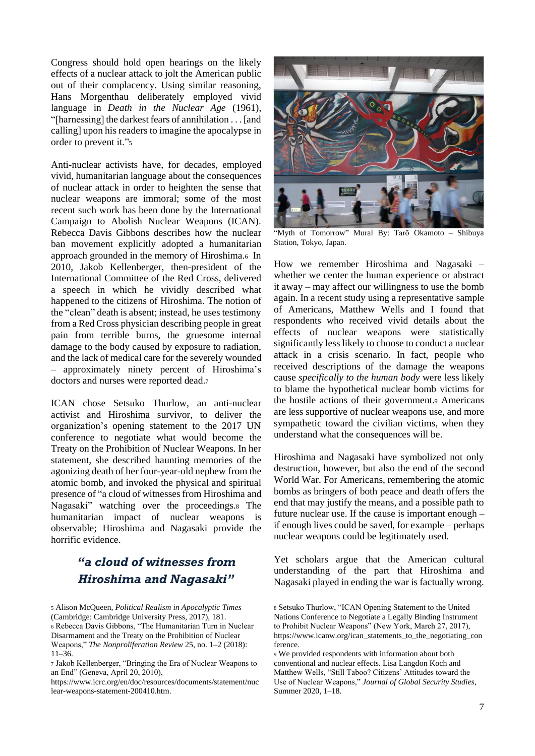Congress should hold open hearings on the likely effects of a nuclear attack to jolt the American public out of their complacency. Using similar reasoning, Hans Morgenthau deliberately employed vivid language in *Death in the Nuclear Age* (1961), "[harnessing] the darkest fears of annihilation . . . [and calling] upon his readers to imagine the apocalypse in order to prevent it."<sup>5</sup>

Anti-nuclear activists have, for decades, employed vivid, humanitarian language about the consequences of nuclear attack in order to heighten the sense that nuclear weapons are immoral; some of the most recent such work has been done by the International Campaign to Abolish Nuclear Weapons (ICAN). Rebecca Davis Gibbons describes how the nuclear ban movement explicitly adopted a humanitarian approach grounded in the memory of Hiroshima.6 In 2010, Jakob Kellenberger, then-president of the International Committee of the Red Cross, delivered a speech in which he vividly described what happened to the citizens of Hiroshima. The notion of the "clean" death is absent; instead, he uses testimony from a Red Cross physician describing people in great pain from terrible burns, the gruesome internal damage to the body caused by exposure to radiation, and the lack of medical care for the severely wounded – approximately ninety percent of Hiroshima's doctors and nurses were reported dead.<sup>7</sup>

ICAN chose Setsuko Thurlow, an anti-nuclear activist and Hiroshima survivor, to deliver the organization's opening statement to the 2017 UN conference to negotiate what would become the Treaty on the Prohibition of Nuclear Weapons. In her statement, she described haunting memories of the agonizing death of her four-year-old nephew from the atomic bomb, and invoked the physical and spiritual presence of "a cloud of witnessesfrom Hiroshima and Nagasaki" watching over the proceedings.<sup>8</sup> The humanitarian impact of nuclear weapons is observable; Hiroshima and Nagasaki provide the horrific evidence.

## *"a cloud of witnesses from Hiroshima and Nagasaki"*

<sup>6</sup> Rebecca Davis Gibbons, "The Humanitarian Turn in Nuclear Disarmament and the Treaty on the Prohibition of Nuclear Weapons," *The Nonproliferation Review* 25, no. 1–2 (2018): 11–36.

https://www.icrc.org/en/doc/resources/documents/statement/nuc lear-weapons-statement-200410.htm.



"Myth of Tomorrow" Mural By: Tarō Okamoto – Shibuya Station, Tokyo, Japan.

How we remember Hiroshima and Nagasaki – whether we center the human experience or abstract it away – may affect our willingness to use the bomb again. In a recent study using a representative sample of Americans, Matthew Wells and I found that respondents who received vivid details about the effects of nuclear weapons were statistically significantly less likely to choose to conduct a nuclear attack in a crisis scenario. In fact, people who received descriptions of the damage the weapons cause *specifically to the human body* were less likely to blame the hypothetical nuclear bomb victims for the hostile actions of their government.<sup>9</sup> Americans are less supportive of nuclear weapons use, and more sympathetic toward the civilian victims, when they understand what the consequences will be.

Hiroshima and Nagasaki have symbolized not only destruction, however, but also the end of the second World War. For Americans, remembering the atomic bombs as bringers of both peace and death offers the end that may justify the means, and a possible path to future nuclear use. If the cause is important enough – if enough lives could be saved, for example – perhaps nuclear weapons could be legitimately used.

Yet scholars argue that the American cultural understanding of the part that Hiroshima and Nagasaki played in ending the war is factually wrong.

<sup>5</sup> Alison McQueen, *Political Realism in Apocalyptic Times* (Cambridge: Cambridge University Press, 2017), 181.

<sup>7</sup> Jakob Kellenberger, "Bringing the Era of Nuclear Weapons to an End" (Geneva, April 20, 2010),

<sup>8</sup> Setsuko Thurlow, "ICAN Opening Statement to the United Nations Conference to Negotiate a Legally Binding Instrument to Prohibit Nuclear Weapons" (New York, March 27, 2017), https://www.icanw.org/ican\_statements\_to\_the\_negotiating\_con ference.

<sup>9</sup> We provided respondents with information about both conventional and nuclear effects. Lisa Langdon Koch and Matthew Wells, "Still Taboo? Citizens' Attitudes toward the Use of Nuclear Weapons," *Journal of Global Security Studies*, Summer 2020, 1–18.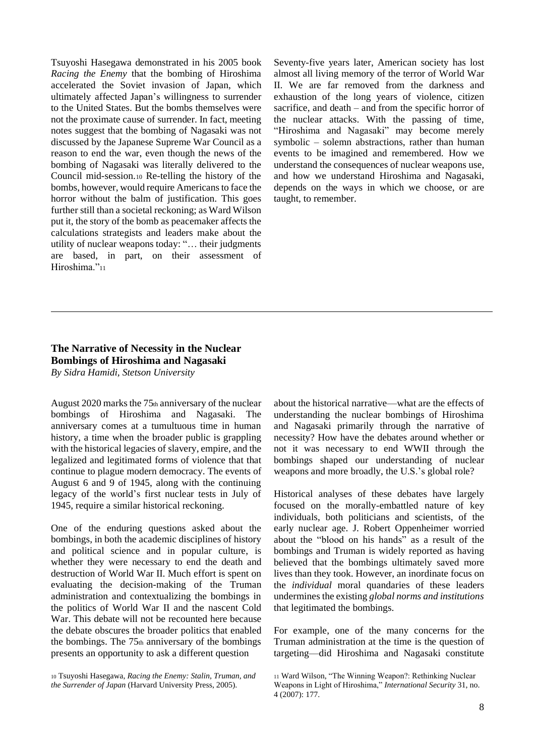Tsuyoshi Hasegawa demonstrated in his 2005 book *Racing the Enemy* that the bombing of Hiroshima accelerated the Soviet invasion of Japan, which ultimately affected Japan's willingness to surrender to the United States. But the bombs themselves were not the proximate cause of surrender. In fact, meeting notes suggest that the bombing of Nagasaki was not discussed by the Japanese Supreme War Council as a reason to end the war, even though the news of the bombing of Nagasaki was literally delivered to the Council mid-session.<sup>10</sup> Re-telling the history of the bombs, however, would require Americans to face the horror without the balm of justification. This goes further still than a societal reckoning; as Ward Wilson put it, the story of the bomb as peacemaker affects the calculations strategists and leaders make about the utility of nuclear weapons today: "… their judgments are based, in part, on their assessment of Hiroshima."<sup>11</sup>

Seventy-five years later, American society has lost almost all living memory of the terror of World War II. We are far removed from the darkness and exhaustion of the long years of violence, citizen sacrifice, and death – and from the specific horror of the nuclear attacks. With the passing of time, "Hiroshima and Nagasaki" may become merely symbolic – solemn abstractions, rather than human events to be imagined and remembered. How we understand the consequences of nuclear weapons use, and how we understand Hiroshima and Nagasaki, depends on the ways in which we choose, or are taught, to remember.

#### **The Narrative of Necessity in the Nuclear Bombings of Hiroshima and Nagasaki** *By Sidra Hamidi, Stetson University*

August 2020 marks the 75th anniversary of the nuclear bombings of Hiroshima and Nagasaki. The anniversary comes at a tumultuous time in human history, a time when the broader public is grappling with the historical legacies of slavery, empire, and the legalized and legitimated forms of violence that that continue to plague modern democracy. The events of August 6 and 9 of 1945, along with the continuing legacy of the world's first nuclear tests in July of 1945, require a similar historical reckoning.

One of the enduring questions asked about the bombings, in both the academic disciplines of history and political science and in popular culture, is whether they were necessary to end the death and destruction of World War II. Much effort is spent on evaluating the decision-making of the Truman administration and contextualizing the bombings in the politics of World War II and the nascent Cold War. This debate will not be recounted here because the debate obscures the broader politics that enabled the bombings. The  $75<sub>th</sub>$  anniversary of the bombings presents an opportunity to ask a different question

about the historical narrative—what are the effects of understanding the nuclear bombings of Hiroshima and Nagasaki primarily through the narrative of necessity? How have the debates around whether or not it was necessary to end WWII through the bombings shaped our understanding of nuclear weapons and more broadly, the U.S.'s global role?

Historical analyses of these debates have largely focused on the morally-embattled nature of key individuals, both politicians and scientists, of the early nuclear age. J. Robert Oppenheimer worried about the "blood on his hands" as a result of the bombings and Truman is widely reported as having believed that the bombings ultimately saved more lives than they took. However, an inordinate focus on the *individual* moral quandaries of these leaders undermines the existing *global norms and institutions* that legitimated the bombings.

For example, one of the many concerns for the Truman administration at the time is the question of targeting—did Hiroshima and Nagasaki constitute

<sup>10</sup> Tsuyoshi Hasegawa, *Racing the Enemy: Stalin, Truman, and the Surrender of Japan* (Harvard University Press, 2005).

<sup>11</sup> Ward Wilson, "The Winning Weapon?: Rethinking Nuclear

Weapons in Light of Hiroshima," *International Security* 31, no. 4 (2007): 177.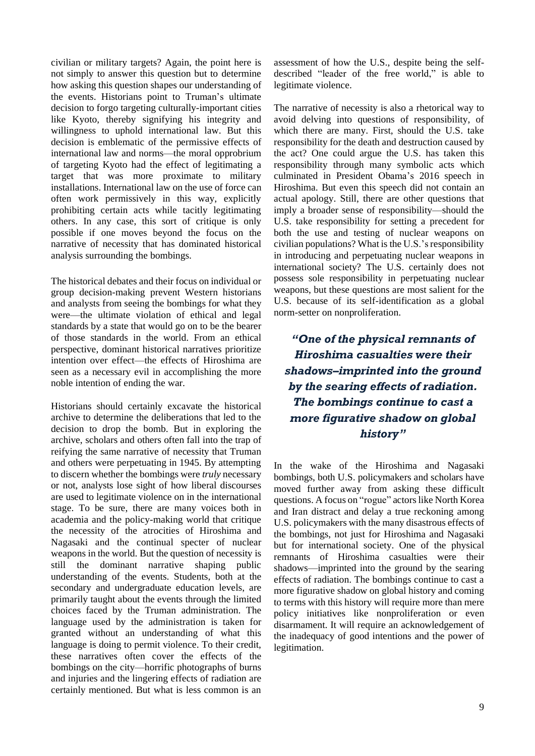civilian or military targets? Again, the point here is not simply to answer this question but to determine how asking this question shapes our understanding of the events. Historians point to Truman's ultimate decision to forgo targeting culturally-important cities like Kyoto, thereby signifying his integrity and willingness to uphold international law. But this decision is emblematic of the permissive effects of international law and norms—the moral opprobrium of targeting Kyoto had the effect of legitimating a target that was more proximate to military installations. International law on the use of force can often work permissively in this way, explicitly prohibiting certain acts while tacitly legitimating others. In any case, this sort of critique is only possible if one moves beyond the focus on the narrative of necessity that has dominated historical analysis surrounding the bombings.

The historical debates and their focus on individual or group decision-making prevent Western historians and analysts from seeing the bombings for what they were—the ultimate violation of ethical and legal standards by a state that would go on to be the bearer of those standards in the world. From an ethical perspective, dominant historical narratives prioritize intention over effect—the effects of Hiroshima are seen as a necessary evil in accomplishing the more noble intention of ending the war.

Historians should certainly excavate the historical archive to determine the deliberations that led to the decision to drop the bomb. But in exploring the archive, scholars and others often fall into the trap of reifying the same narrative of necessity that Truman and others were perpetuating in 1945. By attempting to discern whether the bombings were *truly* necessary or not, analysts lose sight of how liberal discourses are used to legitimate violence on in the international stage. To be sure, there are many voices both in academia and the policy-making world that critique the necessity of the atrocities of Hiroshima and Nagasaki and the continual specter of nuclear weapons in the world. But the question of necessity is still the dominant narrative shaping public understanding of the events. Students, both at the secondary and undergraduate education levels, are primarily taught about the events through the limited choices faced by the Truman administration. The language used by the administration is taken for granted without an understanding of what this language is doing to permit violence. To their credit, these narratives often cover the effects of the bombings on the city—horrific photographs of burns and injuries and the lingering effects of radiation are certainly mentioned. But what is less common is an

assessment of how the U.S., despite being the selfdescribed "leader of the free world," is able to legitimate violence.

The narrative of necessity is also a rhetorical way to avoid delving into questions of responsibility, of which there are many. First, should the U.S. take responsibility for the death and destruction caused by the act? One could argue the U.S. has taken this responsibility through many symbolic acts which culminated in President Obama's 2016 speech in Hiroshima. But even this speech did not contain an actual apology. Still, there are other questions that imply a broader sense of responsibility—should the U.S. take responsibility for setting a precedent for both the use and testing of nuclear weapons on civilian populations? What is the U.S.'s responsibility in introducing and perpetuating nuclear weapons in international society? The U.S. certainly does not possess sole responsibility in perpetuating nuclear weapons, but these questions are most salient for the U.S. because of its self-identification as a global norm-setter on nonproliferation.

*"One of the physical remnants of Hiroshima casualties were their shadows–imprinted into the ground by the searing effects of radiation. The bombings continue to cast a more figurative shadow on global history"*

In the wake of the Hiroshima and Nagasaki bombings, both U.S. policymakers and scholars have moved further away from asking these difficult questions. A focus on "rogue" actors like North Korea and Iran distract and delay a true reckoning among U.S. policymakers with the many disastrous effects of the bombings, not just for Hiroshima and Nagasaki but for international society. One of the physical remnants of Hiroshima casualties were their shadows—imprinted into the ground by the searing effects of radiation. The bombings continue to cast a more figurative shadow on global history and coming to terms with this history will require more than mere policy initiatives like nonproliferation or even disarmament. It will require an acknowledgement of the inadequacy of good intentions and the power of legitimation.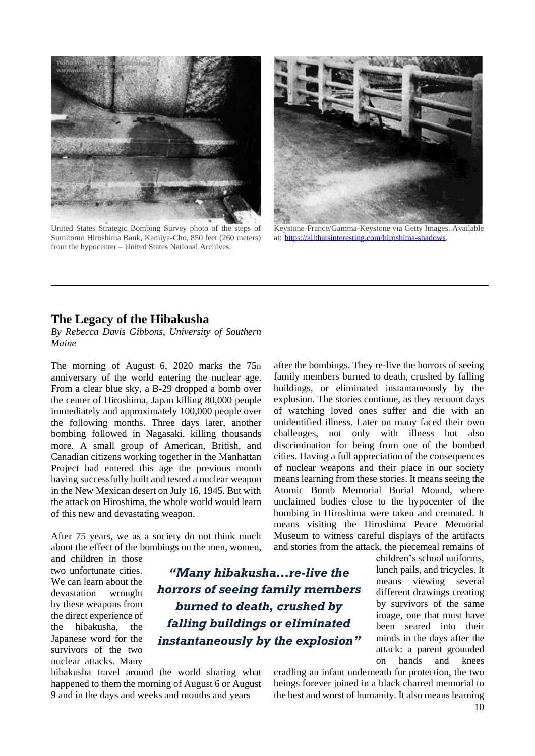

United States Strategic Bombing Survey photo of the steps of Sumitomo Hiroshima Bank, Kamiya-Cho, 850 feet (260 meters) from the hypocenter – United States National Archives.



Keystone-France/Gamma-Keystone via Getty Images. Available at: [https://allthatsinteresting.com/hiroshima-shadows.](https://allthatsinteresting.com/hiroshima-shadows)

### **The Legacy of the Hibakusha**

*By Rebecca Davis Gibbons, University of Southern Maine*

The morning of August 6, 2020 marks the 75th anniversary of the world entering the nuclear age. From a clear blue sky, a B-29 dropped a bomb over the center of Hiroshima, Japan killing 80,000 people immediately and approximately 100,000 people over the following months. Three days later, another bombing followed in Nagasaki, killing thousands more. A small group of American, British, and Canadian citizens working together in the Manhattan Project had entered this age the previous month having successfully built and tested a nuclear weapon in the New Mexican desert on July 16, 1945. But with the attack on Hiroshima, the whole world would learn of this new and devastating weapon.

After 75 years, we as a society do not think much about the effect of the bombings on the men, women,

and children in those two unfortunate cities. We can learn about the devastation wrought by these weapons from the direct experience of the hibakusha, the Japanese word for the survivors of the two nuclear attacks. Many

*"Many hibakusha…re-live the horrors of seeing family members burned to death, crushed by falling buildings or eliminated instantaneously by the explosion"*

hibakusha travel around the world sharing what happened to them the morning of August 6 or August 9 and in the days and weeks and months and years

after the bombings. They re-live the horrors of seeing family members burned to death, crushed by falling buildings, or eliminated instantaneously by the explosion. The stories continue, as they recount days of watching loved ones suffer and die with an unidentified illness. Later on many faced their own challenges, not only with illness but also discrimination for being from one of the bombed cities. Having a full appreciation of the consequences of nuclear weapons and their place in our society means learning from these stories. It means seeing the Atomic Bomb Memorial Burial Mound, where unclaimed bodies close to the hypocenter of the bombing in Hiroshima were taken and cremated. It means visiting the Hiroshima Peace Memorial Museum to witness careful displays of the artifacts and stories from the attack, the piecemeal remains of

> children's school uniforms, lunch pails, and tricycles. It means viewing several different drawings creating by survivors of the same image, one that must have been seared into their minds in the days after the attack: a parent grounded on hands and knees

cradling an infant underneath for protection, the two beings forever joined in a black charred memorial to the best and worst of humanity. It also means learning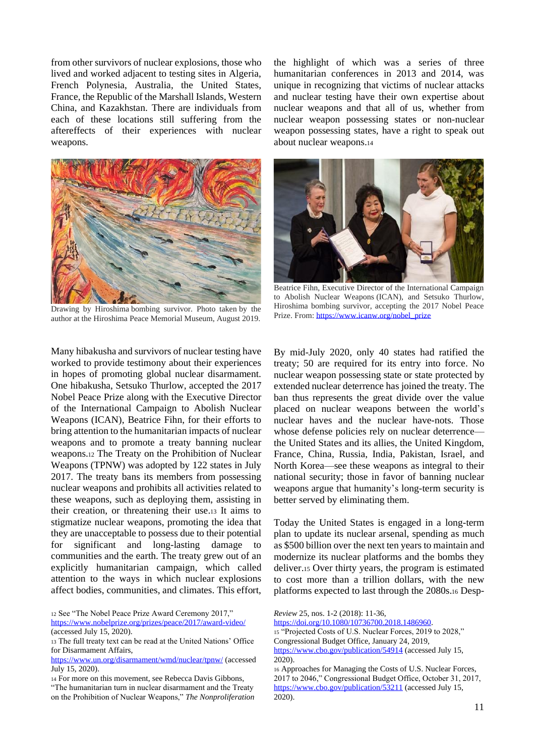from other survivors of nuclear explosions, those who lived and worked adjacent to testing sites in Algeria, French Polynesia, Australia, the United States, France, the Republic of the Marshall Islands, Western China, and Kazakhstan. There are individuals from each of these locations still suffering from the aftereffects of their experiences with nuclear weapons.



Drawing by Hiroshima bombing survivor. Photo taken by the author at the Hiroshima Peace Memorial Museum, August 2019.

Many hibakusha and survivors of nuclear testing have worked to provide testimony about their experiences in hopes of promoting global nuclear disarmament. One hibakusha, Setsuko Thurlow, accepted the 2017 Nobel Peace Prize along with the Executive Director of the International Campaign to Abolish Nuclear Weapons (ICAN), Beatrice Fihn, for their efforts to bring attention to the humanitarian impacts of nuclear weapons and to promote a treaty banning nuclear weapons.<sup>12</sup> The Treaty on the Prohibition of Nuclear Weapons (TPNW) was adopted by 122 states in July 2017. The treaty bans its members from possessing nuclear weapons and prohibits all activities related to these weapons, such as deploying them, assisting in their creation, or threatening their use.<sup>13</sup> It aims to stigmatize nuclear weapons, promoting the idea that they are unacceptable to possess due to their potential for significant and long-lasting damage to communities and the earth. The treaty grew out of an explicitly humanitarian campaign, which called attention to the ways in which nuclear explosions affect bodies, communities, and climates. This effort,

<sup>12</sup> See "The Nobel Peace Prize Award Ceremony 2017," <https://www.nobelprize.org/prizes/peace/2017/award-video/>

<sup>14</sup> For more on this movement, see Rebecca Davis Gibbons,

the highlight of which was a series of three humanitarian conferences in 2013 and 2014, was unique in recognizing that victims of nuclear attacks and nuclear testing have their own expertise about nuclear weapons and that all of us, whether from nuclear weapon possessing states or non-nuclear weapon possessing states, have a right to speak out about nuclear weapons.<sup>14</sup>



Beatrice Fihn, Executive Director of the International Campaign to Abolish Nuclear Weapons (ICAN), and Setsuko Thurlow, Hiroshima bombing survivor, accepting the 2017 Nobel Peace Prize. From: [https://www.icanw.org/nobel\\_prize](https://www.icanw.org/nobel_prize)

By mid-July 2020, only 40 states had ratified the treaty; 50 are required for its entry into force. No nuclear weapon possessing state or state protected by extended nuclear deterrence has joined the treaty. The ban thus represents the great divide over the value placed on nuclear weapons between the world's nuclear haves and the nuclear have-nots. Those whose defense policies rely on nuclear deterrence the United States and its allies, the United Kingdom, France, China, Russia, India, Pakistan, Israel, and North Korea—see these weapons as integral to their national security; those in favor of banning nuclear weapons argue that humanity's long-term security is better served by eliminating them.

Today the United States is engaged in a long-term plan to update its nuclear arsenal, spending as much as \$500 billion over the next ten years to maintain and modernize its nuclear platforms and the bombs they deliver.<sup>15</sup> Over thirty years, the program is estimated to cost more than a trillion dollars, with the new platforms expected to last through the 2080s.<sup>16</sup> Desp-

<sup>15</sup> "Projected Costs of U.S. Nuclear Forces, 2019 to 2028," Congressional Budget Office, January 24, 2019,

<sup>(</sup>accessed July 15, 2020).

<sup>13</sup> The full treaty text can be read at the United Nations' Office for Disarmament Affairs,

<https://www.un.org/disarmament/wmd/nuclear/tpnw/> (accessed July 15, 2020).

<sup>&</sup>quot;The humanitarian turn in nuclear disarmament and the Treaty on the Prohibition of Nuclear Weapons," *The Nonproliferation* 

*Review* 25, nos. 1-2 (2018): 11-36,

[https://doi.org/10.1080/10736700.2018.1486960.](https://doi.org/10.1080/10736700.2018.1486960)

<https://www.cbo.gov/publication/54914> (accessed July 15, 2020).

<sup>16</sup> Approaches for Managing the Costs of U.S. Nuclear Forces, 2017 to 2046," Congressional Budget Office, October 31, 2017, <https://www.cbo.gov/publication/53211> (accessed July 15, 2020).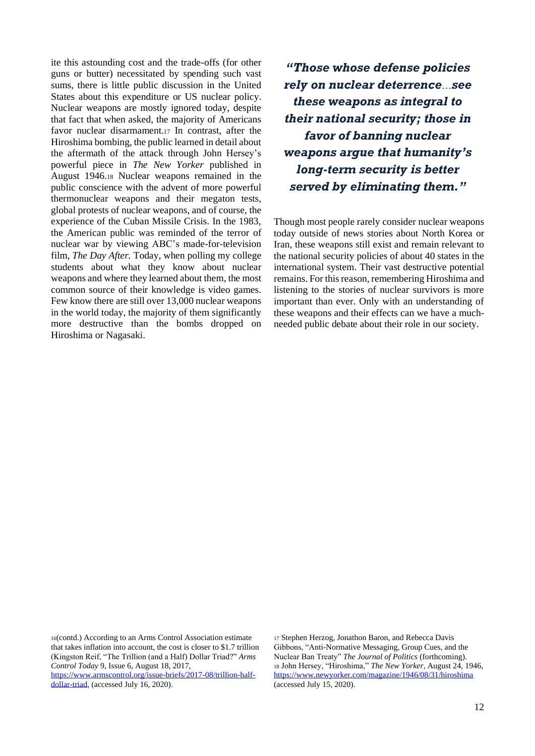ite this astounding cost and the trade-offs (for other guns or butter) necessitated by spending such vast sums, there is little public discussion in the United States about this expenditure or US nuclear policy. Nuclear weapons are mostly ignored today, despite that fact that when asked, the majority of Americans favor nuclear disarmament.<sup>17</sup> In contrast, after the Hiroshima bombing, the public learned in detail about the aftermath of the attack through John Hersey's powerful piece in *The New Yorker* published in August 1946.<sup>18</sup> Nuclear weapons remained in the public conscience with the advent of more powerful thermonuclear weapons and their megaton tests, global protests of nuclear weapons, and of course, the experience of the Cuban Missile Crisis. In the 1983, the American public was reminded of the terror of nuclear war by viewing ABC's made-for-television film, *The Day After.* Today, when polling my college students about what they know about nuclear weapons and where they learned about them, the most common source of their knowledge is video games. Few know there are still over 13,000 nuclear weapons in the world today, the majority of them significantly more destructive than the bombs dropped on Hiroshima or Nagasaki.

*"Those whose defense policies rely on nuclear deterrence*…*see these weapons as integral to their national security; those in favor of banning nuclear weapons argue that humanity's long-term security is better served by eliminating them."*

Though most people rarely consider nuclear weapons today outside of news stories about North Korea or Iran, these weapons still exist and remain relevant to the national security policies of about 40 states in the international system. Their vast destructive potential remains. For this reason, remembering Hiroshima and listening to the stories of nuclear survivors is more important than ever. Only with an understanding of these weapons and their effects can we have a muchneeded public debate about their role in our society.

<sup>16</sup>(contd.) According to an Arms Control Association estimate that takes inflation into account, the cost is closer to \$1.7 trillion (Kingston Reif, "The Trillion (and a Half) Dollar Triad?" *Arms Control Today* 9, Issue 6, August 18, 2017,

[https://www.armscontrol.org/issue-briefs/2017-08/trillion-half](https://www.armscontrol.org/issue-briefs/2017-08/trillion-half-dollar-triad)[dollar-triad,](https://www.armscontrol.org/issue-briefs/2017-08/trillion-half-dollar-triad) (accessed July 16, 2020).

<sup>17</sup> Stephen Herzog, Jonathon Baron, and Rebecca Davis Gibbons, "Anti-Normative Messaging, Group Cues, and the Nuclear Ban Treaty" *The Journal of Politics* (forthcoming). <sup>18</sup> John Hersey, "Hiroshima," *The New Yorker,* August 24, 1946, <https://www.newyorker.com/magazine/1946/08/31/hiroshima> (accessed July 15, 2020).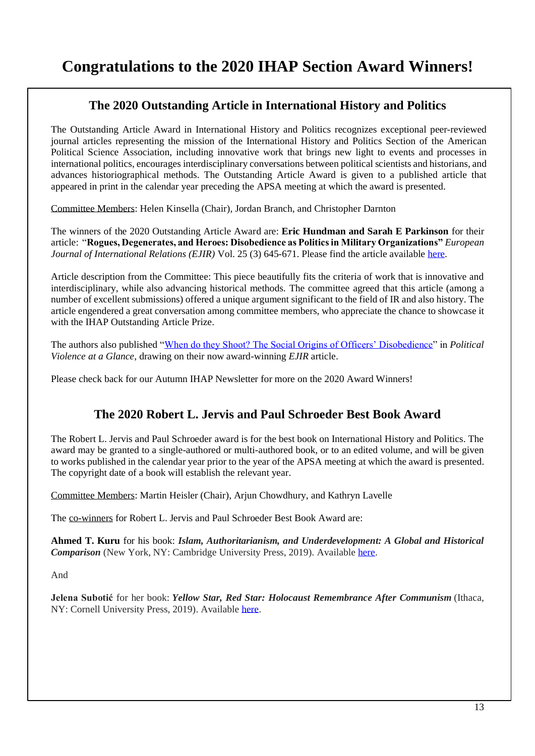# **Congratulations to the 2020 IHAP Section Award Winners!**

## **The 2020 Outstanding Article in International History and Politics**

The Outstanding Article Award in International History and Politics recognizes exceptional peer-reviewed journal articles representing the mission of the International History and Politics Section of the American Political Science Association, including innovative work that brings new light to events and processes in international politics, encourages interdisciplinary conversations between political scientists and historians, and advances historiographical methods. The Outstanding Article Award is given to a published article that appeared in print in the calendar year preceding the APSA meeting at which the award is presented.

Committee Members: Helen Kinsella (Chair), Jordan Branch, and Christopher Darnton

The winners of the 2020 Outstanding Article Award are: **Eric Hundman and Sarah E Parkinson** for their article: "**Rogues, Degenerates, and Heroes: Disobedience as Politics in Military Organizations"** *European Journal of International Relations (EJIR)* Vol. 25 (3) 645-671. Please find the article available [here.](https://journals.sagepub.com/doi/full/10.1177/1354066118823891)

Article description from the Committee: This piece beautifully fits the criteria of work that is innovative and interdisciplinary, while also advancing historical methods. The committee agreed that this article (among a number of excellent submissions) offered a unique argument significant to the field of IR and also history. The article engendered a great conversation among committee members, who appreciate the chance to showcase it with the IHAP Outstanding Article Prize.

The authors also published ["When do they Shoot? The Social Origins of Officers' Disobedience"](https://politicalviolenceataglance.org/2020/06/29/when-do-they-shoot-the-social-origins-of-officers-disobedience/) in *Political Violence at a Glance*, drawing on their now award-winning *EJIR* article.

Please check back for our Autumn IHAP Newsletter for more on the 2020 Award Winners!

## **The 2020 Robert L. Jervis and Paul Schroeder Best Book Award**

The Robert L. Jervis and Paul Schroeder award is for the best book on International History and Politics. The award may be granted to a single-authored or multi-authored book, or to an edited volume, and will be given to works published in the calendar year prior to the year of the APSA meeting at which the award is presented. The copyright date of a book will establish the relevant year.

Committee Members: Martin Heisler (Chair), Arjun Chowdhury, and Kathryn Lavelle

The co-winners for Robert L. Jervis and Paul Schroeder Best Book Award are:

**Ahmed T. Kuru** for his book: *Islam, Authoritarianism, and Underdevelopment: A Global and Historical Comparison* (New York, NY: Cambridge University Press, 2019). Available [here.](https://www.cambridge.org/us/academic/subjects/politics-international-relations/comparative-politics/islam-authoritarianism-and-underdevelopment-global-and-historical-comparison?format=PB)

And

**Jelena Subotić** for her book: *Yellow Star, Red Star: Holocaust Remembrance After Communism* (Ithaca, NY: Cornell University Press, 2019). Availabl[e here.](https://www.cornellpress.cornell.edu/book/9781501742408/yellow-star-red-star/)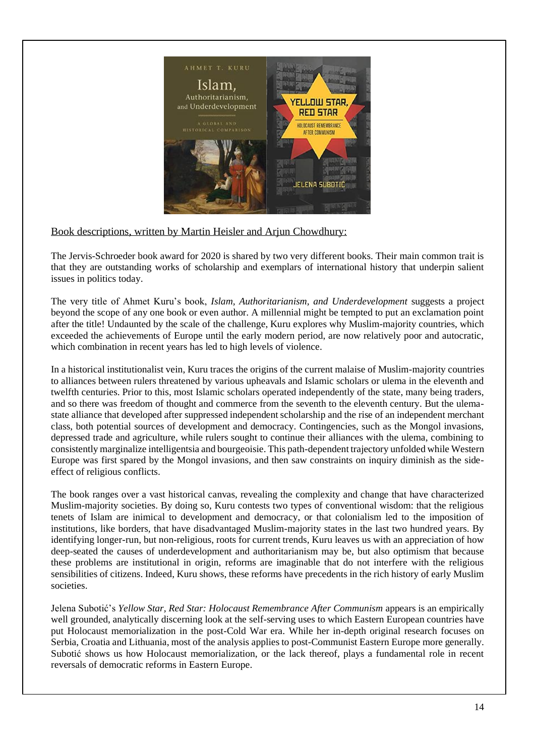

Book descriptions, written by Martin Heisler and Arjun Chowdhury:

The Jervis-Schroeder book award for 2020 is shared by two very different books. Their main common trait is that they are outstanding works of scholarship and exemplars of international history that underpin salient issues in politics today.

The very title of Ahmet Kuru's book, *Islam, Authoritarianism, and Underdevelopment* suggests a project beyond the scope of any one book or even author. A millennial might be tempted to put an exclamation point after the title! Undaunted by the scale of the challenge, Kuru explores why Muslim-majority countries, which exceeded the achievements of Europe until the early modern period, are now relatively poor and autocratic, which combination in recent years has led to high levels of violence.

In a historical institutionalist vein, Kuru traces the origins of the current malaise of Muslim-majority countries to alliances between rulers threatened by various upheavals and Islamic scholars or ulema in the eleventh and twelfth centuries. Prior to this, most Islamic scholars operated independently of the state, many being traders, and so there was freedom of thought and commerce from the seventh to the eleventh century. But the ulemastate alliance that developed after suppressed independent scholarship and the rise of an independent merchant class, both potential sources of development and democracy. Contingencies, such as the Mongol invasions, depressed trade and agriculture, while rulers sought to continue their alliances with the ulema, combining to consistently marginalize intelligentsia and bourgeoisie. This path-dependent trajectory unfolded while Western Europe was first spared by the Mongol invasions, and then saw constraints on inquiry diminish as the sideeffect of religious conflicts.

The book ranges over a vast historical canvas, revealing the complexity and change that have characterized Muslim-majority societies. By doing so, Kuru contests two types of conventional wisdom: that the religious tenets of Islam are inimical to development and democracy, or that colonialism led to the imposition of institutions, like borders, that have disadvantaged Muslim-majority states in the last two hundred years. By identifying longer-run, but non-religious, roots for current trends, Kuru leaves us with an appreciation of how deep-seated the causes of underdevelopment and authoritarianism may be, but also optimism that because these problems are institutional in origin, reforms are imaginable that do not interfere with the religious sensibilities of citizens. Indeed, Kuru shows, these reforms have precedents in the rich history of early Muslim societies.

Jelena Subotić's *Yellow Star, Red Star: Holocaust Remembrance After Communism* appears is an empirically well grounded, analytically discerning look at the self-serving uses to which Eastern European countries have put Holocaust memorialization in the post-Cold War era. While her in-depth original research focuses on Serbia, Croatia and Lithuania, most of the analysis applies to post-Communist Eastern Europe more generally. Subotić shows us how Holocaust memorialization, or the lack thereof, plays a fundamental role in recent reversals of democratic reforms in Eastern Europe.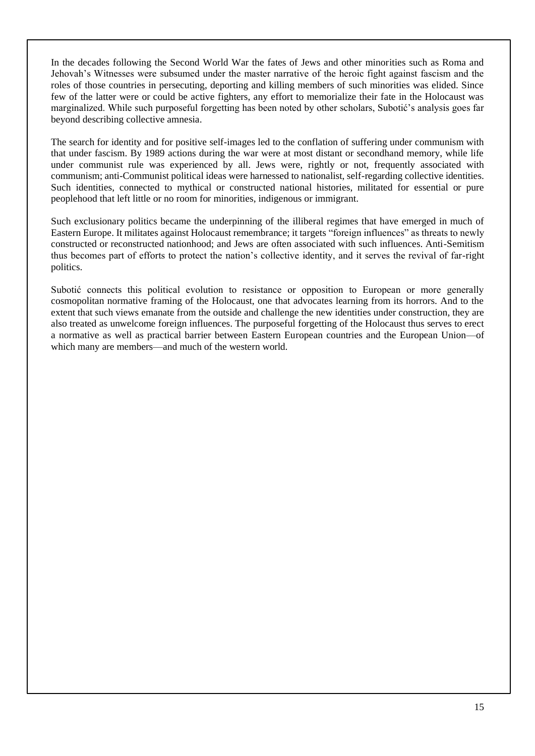In the decades following the Second World War the fates of Jews and other minorities such as Roma and Jehovah's Witnesses were subsumed under the master narrative of the heroic fight against fascism and the roles of those countries in persecuting, deporting and killing members of such minorities was elided. Since few of the latter were or could be active fighters, any effort to memorialize their fate in the Holocaust was marginalized. While such purposeful forgetting has been noted by other scholars, Subotić's analysis goes far beyond describing collective amnesia.

The search for identity and for positive self-images led to the conflation of suffering under communism with that under fascism. By 1989 actions during the war were at most distant or secondhand memory, while life under communist rule was experienced by all. Jews were, rightly or not, frequently associated with communism; anti-Communist political ideas were harnessed to nationalist, self-regarding collective identities. Such identities, connected to mythical or constructed national histories, militated for essential or pure peoplehood that left little or no room for minorities, indigenous or immigrant.

Such exclusionary politics became the underpinning of the illiberal regimes that have emerged in much of Eastern Europe. It militates against Holocaust remembrance; it targets "foreign influences" as threats to newly constructed or reconstructed nationhood; and Jews are often associated with such influences. Anti-Semitism thus becomes part of efforts to protect the nation's collective identity, and it serves the revival of far-right politics.

Subotić connects this political evolution to resistance or opposition to European or more generally cosmopolitan normative framing of the Holocaust, one that advocates learning from its horrors. And to the extent that such views emanate from the outside and challenge the new identities under construction, they are also treated as unwelcome foreign influences. The purposeful forgetting of the Holocaust thus serves to erect a normative as well as practical barrier between Eastern European countries and the European Union—of which many are members—and much of the western world.